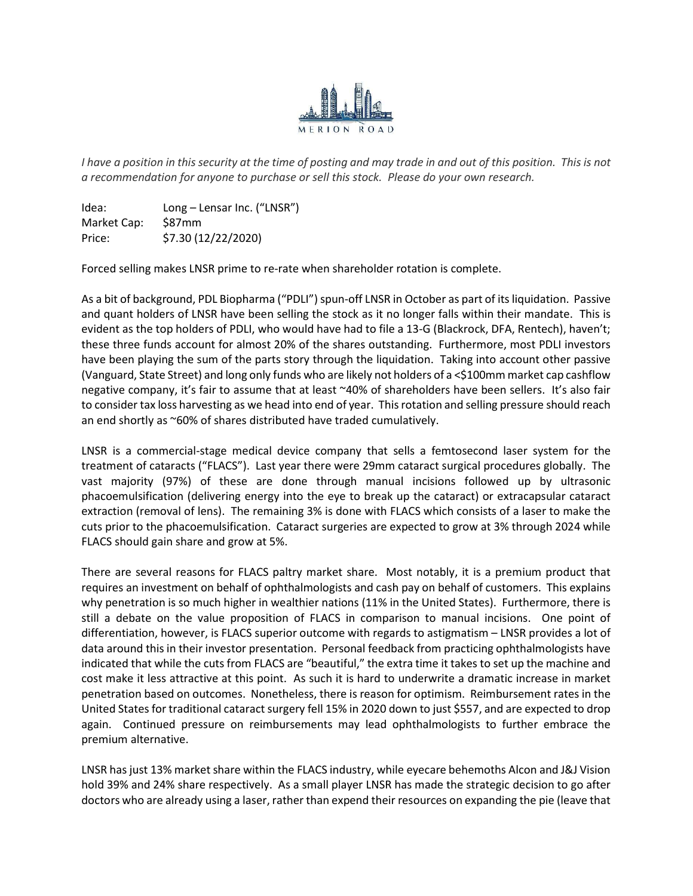

I have a position in this security at the time of posting and may trade in and out of this position. This is not a recommendation for anyone to purchase or sell this stock. Please do your own research.

Idea: Long – Lensar Inc. ("LNSR") Market Cap: \$87mm Price: \$7.30 (12/22/2020)

Forced selling makes LNSR prime to re-rate when shareholder rotation is complete.

As a bit of background, PDL Biopharma ("PDLI") spun-off LNSR in October as part of its liquidation. Passive and quant holders of LNSR have been selling the stock as it no longer falls within their mandate. This is evident as the top holders of PDLI, who would have had to file a 13-G (Blackrock, DFA, Rentech), haven't; these three funds account for almost 20% of the shares outstanding. Furthermore, most PDLI investors have been playing the sum of the parts story through the liquidation. Taking into account other passive (Vanguard, State Street) and long only funds who are likely not holders of a <\$100mm market cap cashflow negative company, it's fair to assume that at least ~40% of shareholders have been sellers. It's also fair to consider tax loss harvesting as we head into end of year. This rotation and selling pressure should reach an end shortly as ~60% of shares distributed have traded cumulatively.

LNSR is a commercial-stage medical device company that sells a femtosecond laser system for the treatment of cataracts ("FLACS"). Last year there were 29mm cataract surgical procedures globally. The vast majority (97%) of these are done through manual incisions followed up by ultrasonic phacoemulsification (delivering energy into the eye to break up the cataract) or extracapsular cataract extraction (removal of lens). The remaining 3% is done with FLACS which consists of a laser to make the cuts prior to the phacoemulsification. Cataract surgeries are expected to grow at 3% through 2024 while FLACS should gain share and grow at 5%.

There are several reasons for FLACS paltry market share. Most notably, it is a premium product that requires an investment on behalf of ophthalmologists and cash pay on behalf of customers. This explains why penetration is so much higher in wealthier nations (11% in the United States). Furthermore, there is still a debate on the value proposition of FLACS in comparison to manual incisions. One point of differentiation, however, is FLACS superior outcome with regards to astigmatism – LNSR provides a lot of data around this in their investor presentation. Personal feedback from practicing ophthalmologists have indicated that while the cuts from FLACS are "beautiful," the extra time it takes to set up the machine and cost make it less attractive at this point. As such it is hard to underwrite a dramatic increase in market penetration based on outcomes. Nonetheless, there is reason for optimism. Reimbursement rates in the United States for traditional cataract surgery fell 15% in 2020 down to just \$557, and are expected to drop again. Continued pressure on reimbursements may lead ophthalmologists to further embrace the premium alternative.

LNSR has just 13% market share within the FLACS industry, while eyecare behemoths Alcon and J&J Vision hold 39% and 24% share respectively. As a small player LNSR has made the strategic decision to go after doctors who are already using a laser, rather than expend their resources on expanding the pie (leave that